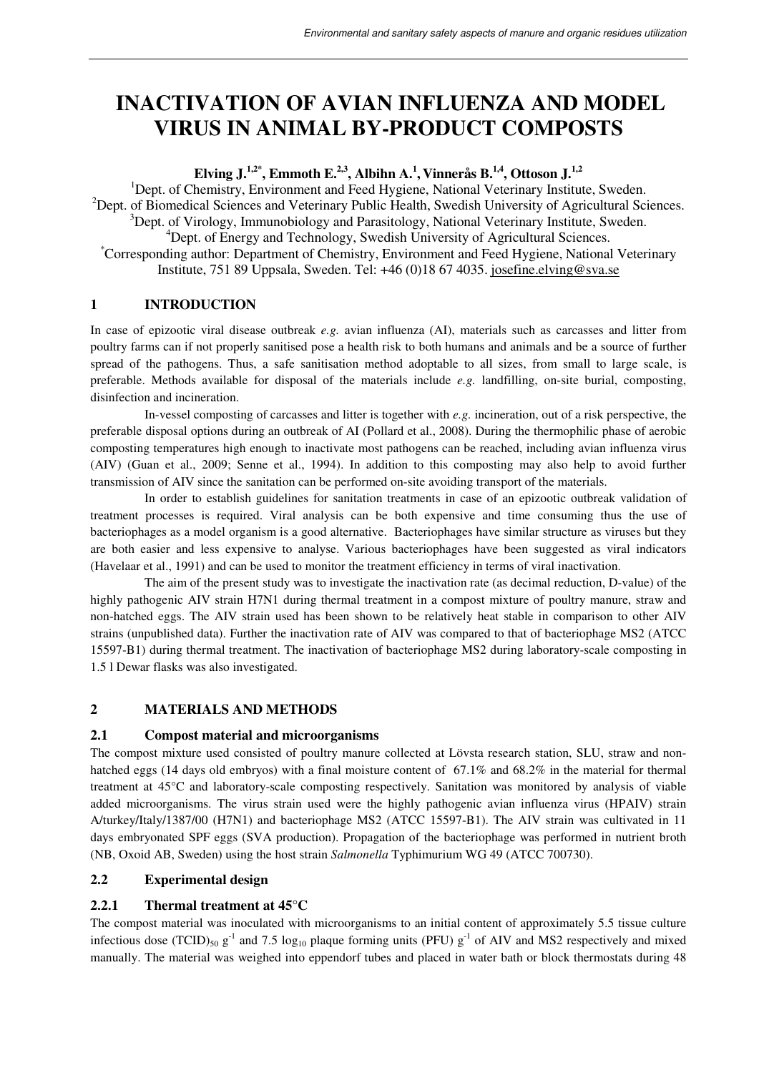# **INACTIVATION OF AVIAN INFLUENZA AND MODEL VIRUS IN ANIMAL BY-PRODUCT COMPOSTS**

**Elving J.1,2\*, Emmoth E.2,3, Albihn A.<sup>1</sup> , Vinnerås B.1,4, Ottoson J.1,2** 

<sup>1</sup>Dept. of Chemistry, Environment and Feed Hygiene, National Veterinary Institute, Sweden. <sup>2</sup>Dept. of Biomedical Sciences and Veterinary Public Health, Swedish University of Agricultural Sciences. <sup>3</sup>Dept. of Virology, Immunobiology and Parasitology, National Veterinary Institute, Sweden. <sup>4</sup>Dept. of Energy and Technology, Swedish University of Agricultural Sciences. \*Corresponding author: Department of Chemistry, Environment and Feed Hygiene, National Veterinary Institute, 751 89 Uppsala, Sweden. Tel: +46 (0)18 67 4035. josefine.elving@sva.se

# **1 INTRODUCTION**

In case of epizootic viral disease outbreak *e.g.* avian influenza (AI), materials such as carcasses and litter from poultry farms can if not properly sanitised pose a health risk to both humans and animals and be a source of further spread of the pathogens. Thus, a safe sanitisation method adoptable to all sizes, from small to large scale, is preferable. Methods available for disposal of the materials include *e.g.* landfilling, on-site burial, composting, disinfection and incineration.

In-vessel composting of carcasses and litter is together with *e.g.* incineration, out of a risk perspective, the preferable disposal options during an outbreak of AI (Pollard et al., 2008). During the thermophilic phase of aerobic composting temperatures high enough to inactivate most pathogens can be reached, including avian influenza virus (AIV) (Guan et al., 2009; Senne et al., 1994). In addition to this composting may also help to avoid further transmission of AIV since the sanitation can be performed on-site avoiding transport of the materials.

In order to establish guidelines for sanitation treatments in case of an epizootic outbreak validation of treatment processes is required. Viral analysis can be both expensive and time consuming thus the use of bacteriophages as a model organism is a good alternative. Bacteriophages have similar structure as viruses but they are both easier and less expensive to analyse. Various bacteriophages have been suggested as viral indicators (Havelaar et al., 1991) and can be used to monitor the treatment efficiency in terms of viral inactivation.

The aim of the present study was to investigate the inactivation rate (as decimal reduction, D-value) of the highly pathogenic AIV strain H7N1 during thermal treatment in a compost mixture of poultry manure, straw and non-hatched eggs. The AIV strain used has been shown to be relatively heat stable in comparison to other AIV strains (unpublished data). Further the inactivation rate of AIV was compared to that of bacteriophage MS2 (ATCC 15597-B1) during thermal treatment. The inactivation of bacteriophage MS2 during laboratory-scale composting in 1.5 l Dewar flasks was also investigated.

# **2 MATERIALS AND METHODS**

# **2.1 Compost material and microorganisms**

The compost mixture used consisted of poultry manure collected at Lövsta research station, SLU, straw and nonhatched eggs (14 days old embryos) with a final moisture content of 67.1% and 68.2% in the material for thermal treatment at 45°C and laboratory-scale composting respectively. Sanitation was monitored by analysis of viable added microorganisms. The virus strain used were the highly pathogenic avian influenza virus (HPAIV) strain A/turkey/Italy/1387/00 (H7N1) and bacteriophage MS2 (ATCC 15597-B1). The AIV strain was cultivated in 11 days embryonated SPF eggs (SVA production). Propagation of the bacteriophage was performed in nutrient broth (NB, Oxoid AB, Sweden) using the host strain *Salmonella* Typhimurium WG 49 (ATCC 700730).

# **2.2 Experimental design**

# **2.2.1 Thermal treatment at 45°C**

The compost material was inoculated with microorganisms to an initial content of approximately 5.5 tissue culture infectious dose (TCID)<sub>50</sub> g<sup>-1</sup> and 7.5 log<sub>10</sub> plaque forming units (PFU) g<sup>-1</sup> of AIV and MS2 respectively and mixed manually. The material was weighed into eppendorf tubes and placed in water bath or block thermostats during 48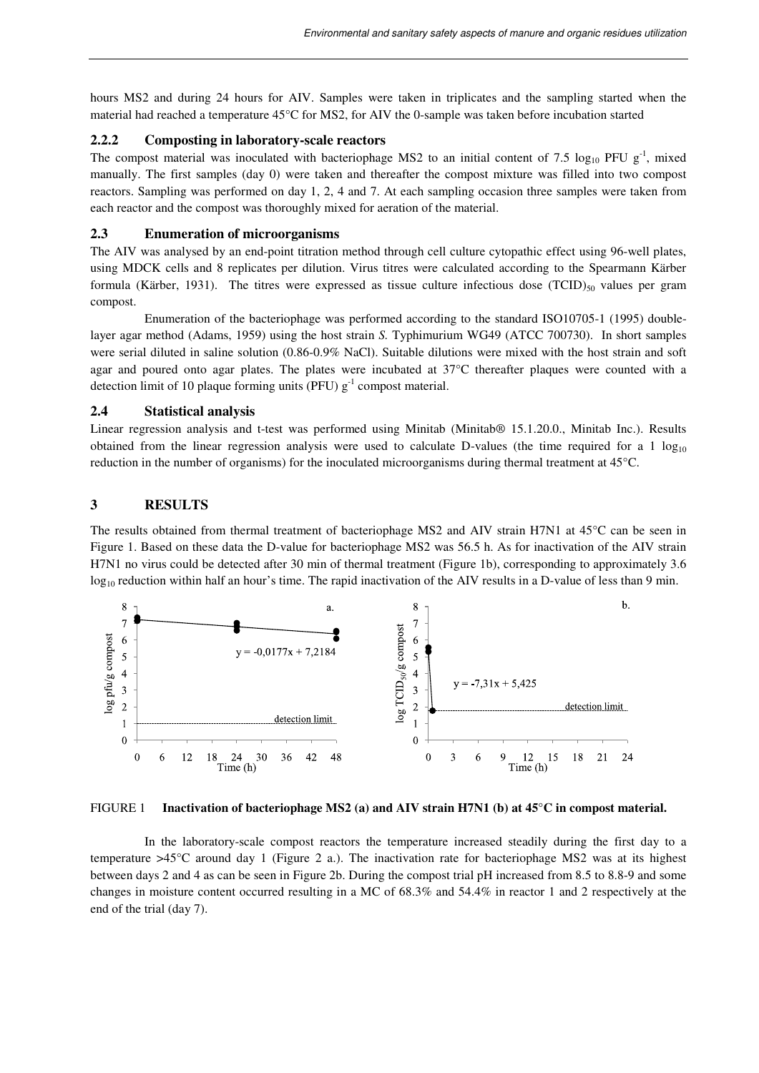hours MS2 and during 24 hours for AIV. Samples were taken in triplicates and the sampling started when the material had reached a temperature 45°C for MS2, for AIV the 0-sample was taken before incubation started

### **2.2.2 Composting in laboratory-scale reactors**

The compost material was inoculated with bacteriophage MS2 to an initial content of 7.5  $\log_{10}$  PFU g<sup>-1</sup>, mixed manually. The first samples (day 0) were taken and thereafter the compost mixture was filled into two compost reactors. Sampling was performed on day 1, 2, 4 and 7. At each sampling occasion three samples were taken from each reactor and the compost was thoroughly mixed for aeration of the material.

## **2.3 Enumeration of microorganisms**

The AIV was analysed by an end-point titration method through cell culture cytopathic effect using 96-well plates, using MDCK cells and 8 replicates per dilution. Virus titres were calculated according to the Spearmann Kärber formula (Kärber, 1931). The titres were expressed as tissue culture infectious dose  $(TCID)_{50}$  values per gram compost.

Enumeration of the bacteriophage was performed according to the standard ISO10705-1 (1995) doublelayer agar method (Adams, 1959) using the host strain *S.* Typhimurium WG49 (ATCC 700730). In short samples were serial diluted in saline solution (0.86-0.9% NaCl). Suitable dilutions were mixed with the host strain and soft agar and poured onto agar plates. The plates were incubated at 37°C thereafter plaques were counted with a detection limit of 10 plaque forming units (PFU)  $g^{-1}$  compost material.

## **2.4 Statistical analysis**

Linear regression analysis and t-test was performed using Minitab (Minitab® 15.1.20.0., Minitab Inc.). Results obtained from the linear regression analysis were used to calculate D-values (the time required for a 1  $log_{10}$ ) reduction in the number of organisms) for the inoculated microorganisms during thermal treatment at 45°C.

### **3 RESULTS**

The results obtained from thermal treatment of bacteriophage MS2 and AIV strain H7N1 at 45°C can be seen in Figure 1. Based on these data the D-value for bacteriophage MS2 was 56.5 h. As for inactivation of the AIV strain H7N1 no virus could be detected after 30 min of thermal treatment (Figure 1b), corresponding to approximately 3.6  $\log_{10}$  reduction within half an hour's time. The rapid inactivation of the AIV results in a D-value of less than 9 min.



#### FIGURE 1 **Inactivation of bacteriophage MS2 (a) and AIV strain H7N1 (b) at 45°C in compost material.**

 In the laboratory-scale compost reactors the temperature increased steadily during the first day to a temperature >45°C around day 1 (Figure 2 a.). The inactivation rate for bacteriophage MS2 was at its highest between days 2 and 4 as can be seen in Figure 2b. During the compost trial pH increased from 8.5 to 8.8-9 and some changes in moisture content occurred resulting in a MC of 68.3% and 54.4% in reactor 1 and 2 respectively at the end of the trial (day 7).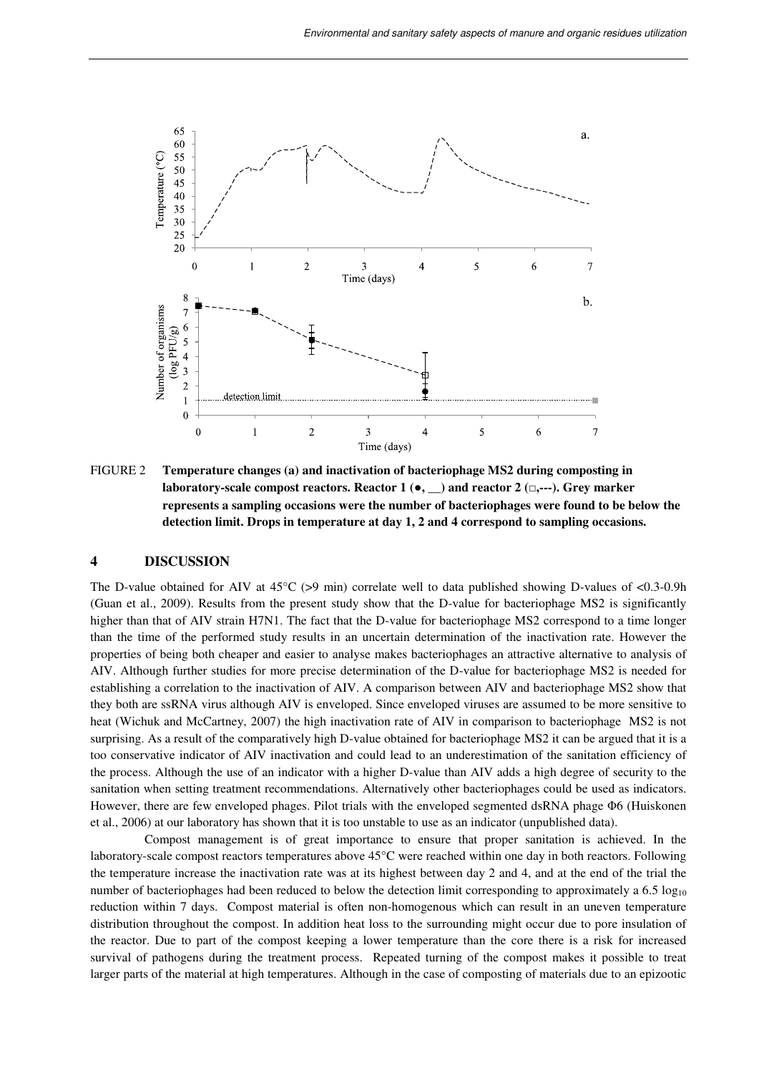

FIGURE 2 **Temperature changes (a) and inactivation of bacteriophage MS2 during composting in laboratory-scale compost reactors. Reactor 1 (**●**, \_\_) and reactor 2 (**□**,---). Grey marker represents a sampling occasions were the number of bacteriophages were found to be below the detection limit. Drops in temperature at day 1, 2 and 4 correspond to sampling occasions.**

#### **4 DISCUSSION**

The D-value obtained for AIV at  $45^{\circ}$ C (>9 min) correlate well to data published showing D-values of <0.3-0.9h (Guan et al., 2009). Results from the present study show that the D-value for bacteriophage MS2 is significantly higher than that of AIV strain H7N1. The fact that the D-value for bacteriophage MS2 correspond to a time longer than the time of the performed study results in an uncertain determination of the inactivation rate. However the properties of being both cheaper and easier to analyse makes bacteriophages an attractive alternative to analysis of AIV. Although further studies for more precise determination of the D-value for bacteriophage MS2 is needed for establishing a correlation to the inactivation of AIV. A comparison between AIV and bacteriophage MS2 show that they both are ssRNA virus although AIV is enveloped. Since enveloped viruses are assumed to be more sensitive to heat (Wichuk and McCartney, 2007) the high inactivation rate of AIV in comparison to bacteriophage MS2 is not surprising. As a result of the comparatively high D-value obtained for bacteriophage MS2 it can be argued that it is a too conservative indicator of AIV inactivation and could lead to an underestimation of the sanitation efficiency of the process. Although the use of an indicator with a higher D-value than AIV adds a high degree of security to the sanitation when setting treatment recommendations. Alternatively other bacteriophages could be used as indicators. However, there are few enveloped phages. Pilot trials with the enveloped segmented dsRNA phage Φ6 (Huiskonen et al., 2006) at our laboratory has shown that it is too unstable to use as an indicator (unpublished data).

Compost management is of great importance to ensure that proper sanitation is achieved. In the laboratory-scale compost reactors temperatures above 45°C were reached within one day in both reactors. Following the temperature increase the inactivation rate was at its highest between day 2 and 4, and at the end of the trial the number of bacteriophages had been reduced to below the detection limit corresponding to approximately a 6.5 log<sub>10</sub> reduction within 7 days. Compost material is often non-homogenous which can result in an uneven temperature distribution throughout the compost. In addition heat loss to the surrounding might occur due to pore insulation of the reactor. Due to part of the compost keeping a lower temperature than the core there is a risk for increased survival of pathogens during the treatment process. Repeated turning of the compost makes it possible to treat larger parts of the material at high temperatures. Although in the case of composting of materials due to an epizootic